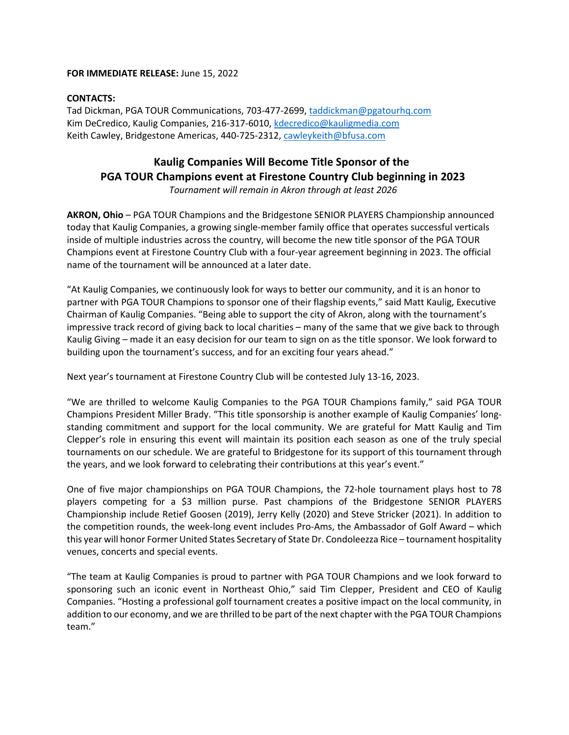### **FOR IMMEDIATE RELEASE:** June 15, 2022

## **CONTACTS:**

Tad Dickman, PGA TOUR Communications, 703-477-2699, taddickman@pgatourhq.com Kim DeCredico, Kaulig Companies, 216-317-6010, kdecredico@kauligmedia.com Keith Cawley, Bridgestone Americas, 440-725-2312, cawleykeith@bfusa.com

# **Kaulig Companies Will Become Title Sponsor of the PGA TOUR Champions event at Firestone Country Club beginning in 2023**

*Tournament will remain in Akron through at least 2026*

**AKRON, Ohio** – PGA TOUR Champions and the Bridgestone SENIOR PLAYERS Championship announced today that Kaulig Companies, a growing single-member family office that operates successful verticals inside of multiple industries across the country, will become the new title sponsor of the PGA TOUR Champions event at Firestone Country Club with a four-year agreement beginning in 2023. The official name of the tournament will be announced at a later date.

"At Kaulig Companies, we continuously look for ways to better our community, and it is an honor to partner with PGA TOUR Champions to sponsor one of their flagship events," said Matt Kaulig, Executive Chairman of Kaulig Companies. "Being able to support the city of Akron, along with the tournament's impressive track record of giving back to local charities – many of the same that we give back to through Kaulig Giving – made it an easy decision for our team to sign on as the title sponsor. We look forward to building upon the tournament's success, and for an exciting four years ahead."

Next year's tournament at Firestone Country Club will be contested July 13-16, 2023.

"We are thrilled to welcome Kaulig Companies to the PGA TOUR Champions family," said PGA TOUR Champions President Miller Brady. "This title sponsorship is another example of Kaulig Companies' longstanding commitment and support for the local community. We are grateful for Matt Kaulig and Tim Clepper's role in ensuring this event will maintain its position each season as one of the truly special tournaments on our schedule. We are grateful to Bridgestone for its support of this tournament through the years, and we look forward to celebrating their contributions at this year's event."

One of five major championships on PGA TOUR Champions, the 72-hole tournament plays host to 78 players competing for a \$3 million purse. Past champions of the Bridgestone SENIOR PLAYERS Championship include Retief Goosen (2019), Jerry Kelly (2020) and Steve Stricker (2021). In addition to the competition rounds, the week-long event includes Pro-Ams, the Ambassador of Golf Award – which this year will honor Former United States Secretary of State Dr. Condoleezza Rice – tournament hospitality venues, concerts and special events.

"The team at Kaulig Companies is proud to partner with PGA TOUR Champions and we look forward to sponsoring such an iconic event in Northeast Ohio," said Tim Clepper, President and CEO of Kaulig Companies. "Hosting a professional golf tournament creates a positive impact on the local community, in addition to our economy, and we are thrilled to be part of the next chapter with the PGA TOUR Champions team."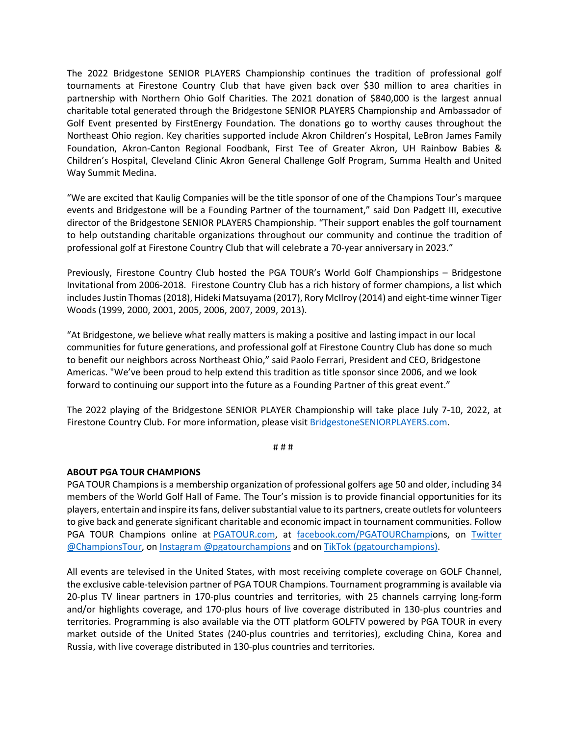The 2022 Bridgestone SENIOR PLAYERS Championship continues the tradition of professional golf tournaments at Firestone Country Club that have given back over \$30 million to area charities in partnership with Northern Ohio Golf Charities. The 2021 donation of \$840,000 is the largest annual charitable total generated through the Bridgestone SENIOR PLAYERS Championship and Ambassador of Golf Event presented by FirstEnergy Foundation. The donations go to worthy causes throughout the Northeast Ohio region. Key charities supported include Akron Children's Hospital, LeBron James Family Foundation, Akron-Canton Regional Foodbank, First Tee of Greater Akron, UH Rainbow Babies & Children's Hospital, Cleveland Clinic Akron General Challenge Golf Program, Summa Health and United Way Summit Medina.

"We are excited that Kaulig Companies will be the title sponsor of one of the Champions Tour's marquee events and Bridgestone will be a Founding Partner of the tournament," said Don Padgett III, executive director of the Bridgestone SENIOR PLAYERS Championship. "Their support enables the golf tournament to help outstanding charitable organizations throughout our community and continue the tradition of professional golf at Firestone Country Club that will celebrate a 70-year anniversary in 2023."

Previously, Firestone Country Club hosted the PGA TOUR's World Golf Championships – Bridgestone Invitational from 2006-2018. Firestone Country Club has a rich history of former champions, a list which includes Justin Thomas (2018), Hideki Matsuyama (2017), Rory McIlroy (2014) and eight-time winner Tiger Woods (1999, 2000, 2001, 2005, 2006, 2007, 2009, 2013).

"At Bridgestone, we believe what really matters is making a positive and lasting impact in our local communities for future generations, and professional golf at Firestone Country Club has done so much to benefit our neighbors across Northeast Ohio," said Paolo Ferrari, President and CEO, Bridgestone Americas. "We've been proud to help extend this tradition as title sponsor since 2006, and we look forward to continuing our support into the future as a Founding Partner of this great event."

The 2022 playing of the Bridgestone SENIOR PLAYER Championship will take place July 7-10, 2022, at Firestone Country Club. For more information, please visit BridgestoneSENIORPLAYERS.com.

# # #

## **ABOUT PGA TOUR CHAMPIONS**

PGA TOUR Champions is a membership organization of professional golfers age 50 and older, including 34 members of the World Golf Hall of Fame. The Tour's mission is to provide financial opportunities for its players, entertain and inspire its fans, deliver substantial value to its partners, create outlets for volunteers to give back and generate significant charitable and economic impact in tournament communities. Follow PGA TOUR Champions online at **PGATOUR.com**, at facebook.com/PGATOURChampions, on **Twitter** @ChampionsTour, on Instagram @pgatourchampions and on TikTok (pgatourchampions). 

All events are televised in the United States, with most receiving complete coverage on GOLF Channel, the exclusive cable-television partner of PGA TOUR Champions. Tournament programming is available via 20-plus TV linear partners in 170-plus countries and territories, with 25 channels carrying long-form and/or highlights coverage, and 170-plus hours of live coverage distributed in 130-plus countries and territories. Programming is also available via the OTT platform GOLFTV powered by PGA TOUR in every market outside of the United States (240-plus countries and territories), excluding China, Korea and Russia, with live coverage distributed in 130-plus countries and territories.